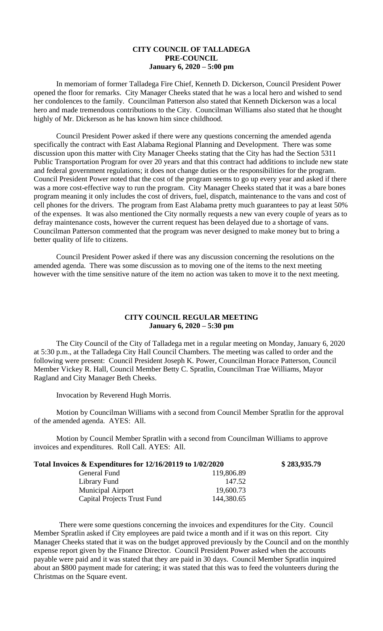## **CITY COUNCIL OF TALLADEGA PRE-COUNCIL January 6, 2020 – 5:00 pm**

In memoriam of former Talladega Fire Chief, Kenneth D. Dickerson, Council President Power opened the floor for remarks. City Manager Cheeks stated that he was a local hero and wished to send her condolences to the family. Councilman Patterson also stated that Kenneth Dickerson was a local hero and made tremendous contributions to the City. Councilman Williams also stated that he thought highly of Mr. Dickerson as he has known him since childhood.

Council President Power asked if there were any questions concerning the amended agenda specifically the contract with East Alabama Regional Planning and Development. There was some discussion upon this matter with City Manager Cheeks stating that the City has had the Section 5311 Public Transportation Program for over 20 years and that this contract had additions to include new state and federal government regulations; it does not change duties or the responsibilities for the program. Council President Power noted that the cost of the program seems to go up every year and asked if there was a more cost-effective way to run the program. City Manager Cheeks stated that it was a bare bones program meaning it only includes the cost of drivers, fuel, dispatch, maintenance to the vans and cost of cell phones for the drivers. The program from East Alabama pretty much guarantees to pay at least 50% of the expenses. It was also mentioned the City normally requests a new van every couple of years as to defray maintenance costs, however the current request has been delayed due to a shortage of vans. Councilman Patterson commented that the program was never designed to make money but to bring a better quality of life to citizens.

Council President Power asked if there was any discussion concerning the resolutions on the amended agenda. There was some discussion as to moving one of the items to the next meeting however with the time sensitive nature of the item no action was taken to move it to the next meeting.

## **CITY COUNCIL REGULAR MEETING January 6, 2020 – 5:30 pm**

The City Council of the City of Talladega met in a regular meeting on Monday, January 6, 2020 at 5:30 p.m., at the Talladega City Hall Council Chambers. The meeting was called to order and the following were present: Council President Joseph K. Power, Councilman Horace Patterson, Council Member Vickey R. Hall, Council Member Betty C. Spratlin, Councilman Trae Williams, Mayor Ragland and City Manager Beth Cheeks.

Invocation by Reverend Hugh Morris.

Motion by Councilman Williams with a second from Council Member Spratlin for the approval of the amended agenda. AYES: All.

**Total Invoices & Expenditures for 12/16/20119 to 1/02/2020 \$ 283,935.79**

Motion by Council Member Spratlin with a second from Councilman Williams to approve invoices and expenditures. Roll Call. AYES: All.

| Total Invoices & Expenditures for 12/16/20119 to 1/02/2020 |            |  |
|------------------------------------------------------------|------------|--|
| General Fund                                               | 119,806.89 |  |
| Library Fund                                               | 147.52     |  |
| <b>Municipal Airport</b>                                   | 19,600.73  |  |
| <b>Capital Projects Trust Fund</b>                         | 144,380.65 |  |

There were some questions concerning the invoices and expenditures for the City. Council Member Spratlin asked if City employees are paid twice a month and if it was on this report. City Manager Cheeks stated that it was on the budget approved previously by the Council and on the monthly expense report given by the Finance Director. Council President Power asked when the accounts payable were paid and it was stated that they are paid in 30 days. Council Member Spratlin inquired about an \$800 payment made for catering; it was stated that this was to feed the volunteers during the Christmas on the Square event.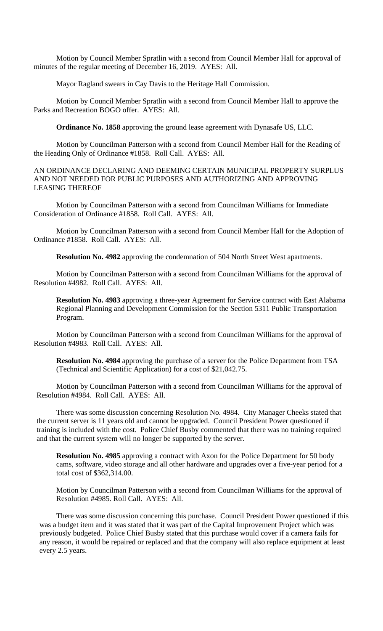Motion by Council Member Spratlin with a second from Council Member Hall for approval of minutes of the regular meeting of December 16, 2019. AYES: All.

Mayor Ragland swears in Cay Davis to the Heritage Hall Commission.

Motion by Council Member Spratlin with a second from Council Member Hall to approve the Parks and Recreation BOGO offer. AYES: All.

**Ordinance No. 1858** approving the ground lease agreement with Dynasafe US, LLC.

Motion by Councilman Patterson with a second from Council Member Hall for the Reading of the Heading Only of Ordinance #1858. Roll Call. AYES: All.

AN ORDINANCE DECLARING AND DEEMING CERTAIN MUNICIPAL PROPERTY SURPLUS AND NOT NEEDED FOR PUBLIC PURPOSES AND AUTHORIZING AND APPROVING LEASING THEREOF

Motion by Councilman Patterson with a second from Councilman Williams for Immediate Consideration of Ordinance #1858. Roll Call. AYES: All.

Motion by Councilman Patterson with a second from Council Member Hall for the Adoption of Ordinance #1858. Roll Call. AYES: All.

**Resolution No. 4982** approving the condemnation of 504 North Street West apartments.

Motion by Councilman Patterson with a second from Councilman Williams for the approval of Resolution #4982. Roll Call. AYES: All.

**Resolution No. 4983** approving a three-year Agreement for Service contract with East Alabama Regional Planning and Development Commission for the Section 5311 Public Transportation Program.

Motion by Councilman Patterson with a second from Councilman Williams for the approval of Resolution #4983. Roll Call. AYES: All.

**Resolution No. 4984** approving the purchase of a server for the Police Department from TSA (Technical and Scientific Application) for a cost of \$21,042.75.

Motion by Councilman Patterson with a second from Councilman Williams for the approval of Resolution #4984. Roll Call. AYES: All.

There was some discussion concerning Resolution No. 4984. City Manager Cheeks stated that the current server is 11 years old and cannot be upgraded. Council President Power questioned if training is included with the cost. Police Chief Busby commented that there was no training required and that the current system will no longer be supported by the server.

**Resolution No. 4985** approving a contract with Axon for the Police Department for 50 body cams, software, video storage and all other hardware and upgrades over a five-year period for a total cost of \$362,314.00.

Motion by Councilman Patterson with a second from Councilman Williams for the approval of Resolution #4985. Roll Call. AYES: All.

There was some discussion concerning this purchase. Council President Power questioned if this was a budget item and it was stated that it was part of the Capital Improvement Project which was previously budgeted. Police Chief Busby stated that this purchase would cover if a camera fails for any reason, it would be repaired or replaced and that the company will also replace equipment at least every 2.5 years.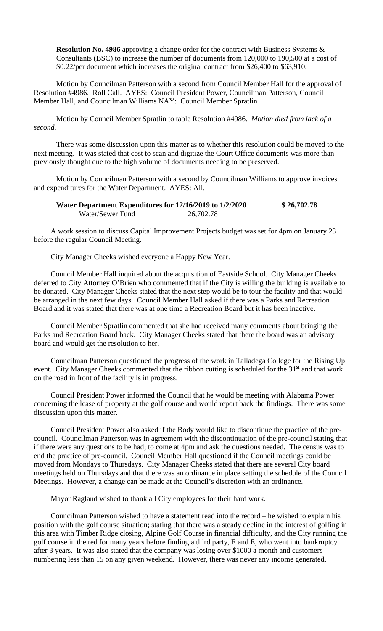**Resolution No. 4986** approving a change order for the contract with Business Systems & Consultants (BSC) to increase the number of documents from 120,000 to 190,500 at a cost of \$0.22/per document which increases the original contract from \$26,400 to \$63,910.

Motion by Councilman Patterson with a second from Council Member Hall for the approval of Resolution #4986. Roll Call. AYES: Council President Power, Councilman Patterson, Council Member Hall, and Councilman Williams NAY: Council Member Spratlin

Motion by Council Member Spratlin to table Resolution #4986. *Motion died from lack of a second.*

There was some discussion upon this matter as to whether this resolution could be moved to the next meeting. It was stated that cost to scan and digitize the Court Office documents was more than previously thought due to the high volume of documents needing to be preserved.

Motion by Councilman Patterson with a second by Councilman Williams to approve invoices and expenditures for the Water Department. AYES: All.

| Water Department Expenditures for 12/16/2019 to 1/2/2020 |           | \$26,702.78 |
|----------------------------------------------------------|-----------|-------------|
| Water/Sewer Fund                                         | 26,702.78 |             |

A work session to discuss Capital Improvement Projects budget was set for 4pm on January 23 before the regular Council Meeting.

City Manager Cheeks wished everyone a Happy New Year.

Council Member Hall inquired about the acquisition of Eastside School. City Manager Cheeks deferred to City Attorney O'Brien who commented that if the City is willing the building is available to be donated. City Manager Cheeks stated that the next step would be to tour the facility and that would be arranged in the next few days. Council Member Hall asked if there was a Parks and Recreation Board and it was stated that there was at one time a Recreation Board but it has been inactive.

Council Member Spratlin commented that she had received many comments about bringing the Parks and Recreation Board back. City Manager Cheeks stated that there the board was an advisory board and would get the resolution to her.

Councilman Patterson questioned the progress of the work in Talladega College for the Rising Up event. City Manager Cheeks commented that the ribbon cutting is scheduled for the 31<sup>st</sup> and that work on the road in front of the facility is in progress.

Council President Power informed the Council that he would be meeting with Alabama Power concerning the lease of property at the golf course and would report back the findings. There was some discussion upon this matter.

Council President Power also asked if the Body would like to discontinue the practice of the precouncil. Councilman Patterson was in agreement with the discontinuation of the pre-council stating that if there were any questions to be had; to come at 4pm and ask the questions needed. The census was to end the practice of pre-council. Council Member Hall questioned if the Council meetings could be moved from Mondays to Thursdays. City Manager Cheeks stated that there are several City board meetings held on Thursdays and that there was an ordinance in place setting the schedule of the Council Meetings. However, a change can be made at the Council's discretion with an ordinance.

Mayor Ragland wished to thank all City employees for their hard work.

Councilman Patterson wished to have a statement read into the record – he wished to explain his position with the golf course situation; stating that there was a steady decline in the interest of golfing in this area with Timber Ridge closing, Alpine Golf Course in financial difficulty, and the City running the golf course in the red for many years before finding a third party, E and E, who went into bankruptcy after 3 years. It was also stated that the company was losing over \$1000 a month and customers numbering less than 15 on any given weekend. However, there was never any income generated.